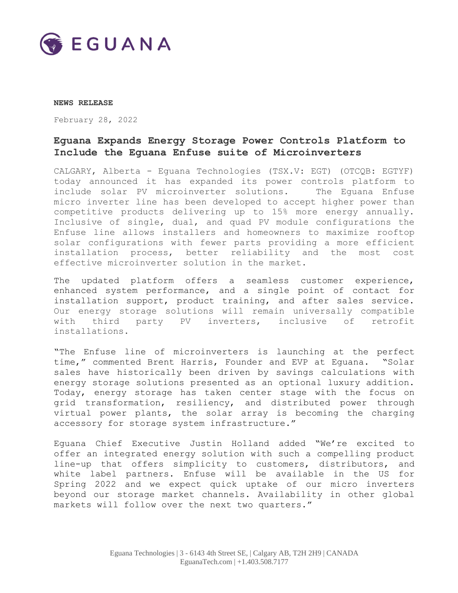

#### **NEWS RELEASE**

February 28, 2022

# **Eguana Expands Energy Storage Power Controls Platform to Include the Eguana Enfuse suite of Microinverters**

CALGARY, Alberta - Eguana Technologies (TSX.V: EGT) (OTCQB: EGTYF) today announced it has expanded its power controls platform to include solar PV microinverter solutions. The Eguana Enfuse micro inverter line has been developed to accept higher power than competitive products delivering up to 15% more energy annually. Inclusive of single, dual, and quad PV module configurations the Enfuse line allows installers and homeowners to maximize rooftop solar configurations with fewer parts providing a more efficient installation process, better reliability and the most cost effective microinverter solution in the market.

The updated platform offers a seamless customer experience, enhanced system performance, and a single point of contact for installation support, product training, and after sales service. Our energy storage solutions will remain universally compatible with third party PV inverters, inclusive of retrofit installations.

"The Enfuse line of microinverters is launching at the perfect time," commented Brent Harris, Founder and EVP at Eguana. "Solar sales have historically been driven by savings calculations with energy storage solutions presented as an optional luxury addition. Today, energy storage has taken center stage with the focus on grid transformation, resiliency, and distributed power through virtual power plants, the solar array is becoming the charging accessory for storage system infrastructure."

Eguana Chief Executive Justin Holland added "We're excited to offer an integrated energy solution with such a compelling product line-up that offers simplicity to customers, distributors, and white label partners. Enfuse will be available in the US for Spring 2022 and we expect quick uptake of our micro inverters beyond our storage market channels. Availability in other global markets will follow over the next two quarters."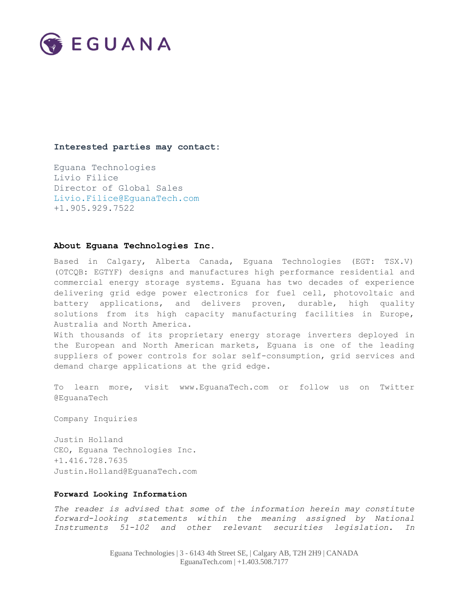

## **Interested parties may contact:**

Eguana Technologies Livio Filice Director of Global Sales [Livio.Filice@EguanaTech.com](mailto:Livio.Filice@EguanaTech.com) +1.905.929.7522

## **About Eguana Technologies Inc.**

Based in Calgary, Alberta Canada, Eguana Technologies (EGT: TSX.V) (OTCQB: EGTYF) designs and manufactures high performance residential and commercial energy storage systems. Eguana has two decades of experience delivering grid edge power electronics for fuel cell, photovoltaic and battery applications, and delivers proven, durable, high quality solutions from its high capacity manufacturing facilities in Europe, Australia and North America.

With thousands of its proprietary energy storage inverters deployed in the European and North American markets, Eguana is one of the leading suppliers of power controls for solar self-consumption, grid services and demand charge applications at the grid edge.

To learn more, visit [www.EguanaTech.com](http://www.eguanatech.com/) or follow us on Twitter [@EguanaTech](https://twitter.com/EguanaTech)

Company Inquiries

Justin Holland CEO, Eguana Technologies Inc. +1.416.728.7635 [Justin.Holland@EguanaTech.com](mailto:Justin.Holland@EguanaTech.com)

#### **Forward Looking Information**

*The reader is advised that some of the information herein may constitute forward-looking statements within the meaning assigned by National Instruments 51-102 and other relevant securities legislation. In*